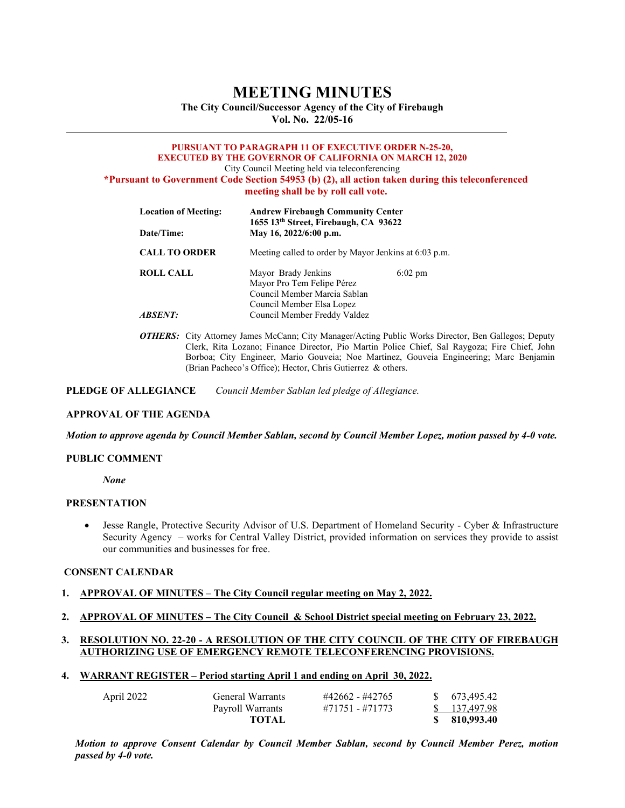# **MEETING MINUTES**

**The City Council/Successor Agency of the City of Firebaugh Vol. No. 22/05-16** 

#### **PURSUANT TO PARAGRAPH 11 OF EXECUTIVE ORDER N-25-20, EXECUTED BY THE GOVERNOR OF CALIFORNIA ON MARCH 12, 2020** City Council Meeting held via teleconferencing **\*Pursuant to Government Code Section 54953 (b) (2), all action taken during this teleconferenced**

**meeting shall be by roll call vote.**

| <b>Andrew Firebaugh Community Center</b>                                          |                                                                    |  |
|-----------------------------------------------------------------------------------|--------------------------------------------------------------------|--|
| May 16, 2022/6:00 p.m.                                                            |                                                                    |  |
| Meeting called to order by Mayor Jenkins at 6:03 p.m.                             |                                                                    |  |
| Mayor Brady Jenkins<br>Mayor Pro Tem Felipe Pérez<br>Council Member Marcia Sablan | $6:02 \text{ pm}$                                                  |  |
| Council Member Freddy Valdez                                                      |                                                                    |  |
|                                                                                   | 1655 13th Street, Firebaugh, CA 93622<br>Council Member Elsa Lopez |  |

*OTHERS:* City Attorney James McCann; City Manager/Acting Public Works Director, Ben Gallegos; Deputy Clerk, Rita Lozano; Finance Director, Pio Martin Police Chief, Sal Raygoza; Fire Chief, John Borboa; City Engineer, Mario Gouveia; Noe Martinez, Gouveia Engineering; Marc Benjamin (Brian Pacheco's Office); Hector, Chris Gutierrez & others.

**PLEDGE OF ALLEGIANCE** *Council Member Sablan led pledge of Allegiance.*

#### **APPROVAL OF THE AGENDA**

*Motion to approve agenda by Council Member Sablan, second by Council Member Lopez, motion passed by 4-0 vote.* 

#### **PUBLIC COMMENT**

*None*

#### **PRESENTATION**

• Jesse Rangle, Protective Security Advisor of U.S. Department of Homeland Security - Cyber & Infrastructure Security Agency – works for Central Valley District, provided information on services they provide to assist our communities and businesses for free.

## **CONSENT CALENDAR**

#### **1. APPROVAL OF MINUTES – The City Council regular meeting on May 2, 2022.**

**2. APPROVAL OF MINUTES – The City Council & School District special meeting on February 23, 2022.**

## **3. RESOLUTION NO. 22-20 - A RESOLUTION OF THE CITY COUNCIL OF THE CITY OF FIREBAUGH AUTHORIZING USE OF EMERGENCY REMOTE TELECONFERENCING PROVISIONS.**

**4. WARRANT REGISTER – Period starting April 1 and ending on April 30, 2022.**

| April 2022 | General Warrants | #42662 - #42765 | \$ 673,495.42 |
|------------|------------------|-----------------|---------------|
|            | Payroll Warrants | #71751 - #71773 | \$ 137,497.98 |
|            | TOTAL            |                 | \$ 810,993.40 |

*Motion to approve Consent Calendar by Council Member Sablan, second by Council Member Perez, motion passed by 4-0 vote.*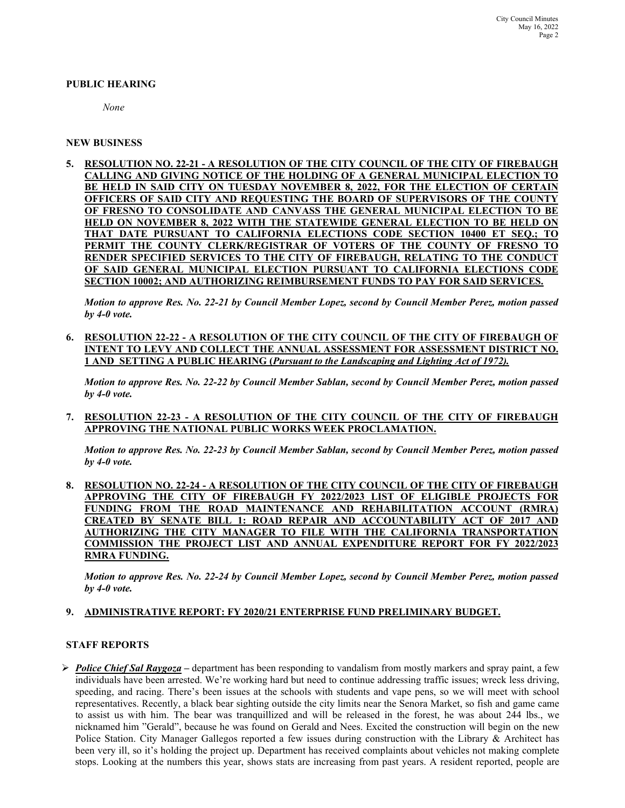#### **PUBLIC HEARING**

*None*

### **NEW BUSINESS**

**5. RESOLUTION NO. 22-21 - A RESOLUTION OF THE CITY COUNCIL OF THE CITY OF FIREBAUGH CALLING AND GIVING NOTICE OF THE HOLDING OF A GENERAL MUNICIPAL ELECTION TO BE HELD IN SAID CITY ON TUESDAY NOVEMBER 8, 2022, FOR THE ELECTION OF CERTAIN OFFICERS OF SAID CITY AND REQUESTING THE BOARD OF SUPERVISORS OF THE COUNTY OF FRESNO TO CONSOLIDATE AND CANVASS THE GENERAL MUNICIPAL ELECTION TO BE HELD ON NOVEMBER 8, 2022 WITH THE STATEWIDE GENERAL ELECTION TO BE HELD ON**  THAT DATE PURSUANT TO CALIFORNIA ELECTIONS CODE SECTION 10400 ET SEO.; **PERMIT THE COUNTY CLERK/REGISTRAR OF VOTERS OF THE COUNTY OF FRESNO TO RENDER SPECIFIED SERVICES TO THE CITY OF FIREBAUGH, RELATING TO THE CONDUCT OF SAID GENERAL MUNICIPAL ELECTION PURSUANT TO CALIFORNIA ELECTIONS CODE SECTION 10002; AND AUTHORIZING REIMBURSEMENT FUNDS TO PAY FOR SAID SERVICES.**

*Motion to approve Res. No. 22-21 by Council Member Lopez, second by Council Member Perez, motion passed by 4-0 vote.* 

**6. RESOLUTION 22-22 - A RESOLUTION OF THE CITY COUNCIL OF THE CITY OF FIREBAUGH OF INTENT TO LEVY AND COLLECT THE ANNUAL ASSESSMENT FOR ASSESSMENT DISTRICT NO. 1 AND SETTING A PUBLIC HEARING (***Pursuant to the Landscaping and Lighting Act of 1972).*

*Motion to approve Res. No. 22-22 by Council Member Sablan, second by Council Member Perez, motion passed by 4-0 vote.* 

**7. RESOLUTION 22-23 - A RESOLUTION OF THE CITY COUNCIL OF THE CITY OF FIREBAUGH APPROVING THE NATIONAL PUBLIC WORKS WEEK PROCLAMATION.**

*Motion to approve Res. No. 22-23 by Council Member Sablan, second by Council Member Perez, motion passed by 4-0 vote.* 

**8. RESOLUTION NO. 22-24 - A RESOLUTION OF THE CITY COUNCIL OF THE CITY OF FIREBAUGH APPROVING THE CITY OF FIREBAUGH FY 2022/2023 LIST OF ELIGIBLE PROJECTS FOR FUNDING FROM THE ROAD MAINTENANCE AND REHABILITATION ACCOUNT (RMRA) CREATED BY SENATE BILL 1: ROAD REPAIR AND ACCOUNTABILITY ACT OF 2017 AND AUTHORIZING THE CITY MANAGER TO FILE WITH THE CALIFORNIA TRANSPORTATION COMMISSION THE PROJECT LIST AND ANNUAL EXPENDITURE REPORT FOR FY RMRA FUNDING.** 

*Motion to approve Res. No. 22-24 by Council Member Lopez, second by Council Member Perez, motion passed by 4-0 vote.* 

#### **9. ADMINISTRATIVE REPORT: FY 2020/21 ENTERPRISE FUND PRELIMINARY BUDGET.**

#### **STAFF REPORTS**

 *Police Chief Sal Raygoza –* department has been responding to vandalism from mostly markers and spray paint, a few individuals have been arrested. We're working hard but need to continue addressing traffic issues; wreck less driving, speeding, and racing. There's been issues at the schools with students and vape pens, so we will meet with school representatives. Recently, a black bear sighting outside the city limits near the Senora Market, so fish and game came to assist us with him. The bear was tranquillized and will be released in the forest, he was about 244 lbs., we nicknamed him "Gerald", because he was found on Gerald and Nees. Excited the construction will begin on the new Police Station. City Manager Gallegos reported a few issues during construction with the Library & Architect has been very ill, so it's holding the project up. Department has received complaints about vehicles not making complete stops. Looking at the numbers this year, shows stats are increasing from past years. A resident reported, people are